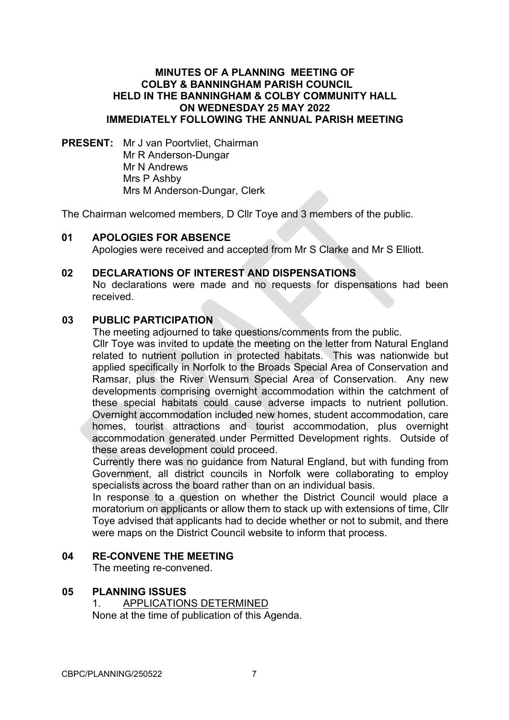## **MINUTES OF A PLANNING MEETING OF COLBY & BANNINGHAM PARISH COUNCIL HELD IN THE BANNINGHAM & COLBY COMMUNITY HALL ON WEDNESDAY 25 MAY 2022 IMMEDIATELY FOLLOWING THE ANNUAL PARISH MEETING**

**PRESENT:** Mr J van Poortvliet, Chairman Mr R Anderson-Dungar Mr N Andrews Mrs P Ashby Mrs M Anderson-Dungar, Clerk

The Chairman welcomed members, D Cllr Toye and 3 members of the public.

## **01 APOLOGIES FOR ABSENCE**

Apologies were received and accepted from Mr S Clarke and Mr S Elliott.

## **02 DECLARATIONS OF INTEREST AND DISPENSATIONS**

No declarations were made and no requests for dispensations had been received.

## **03 PUBLIC PARTICIPATION**

The meeting adjourned to take questions/comments from the public.

Cllr Toye was invited to update the meeting on the letter from Natural England related to nutrient pollution in protected habitats. This was nationwide but applied specifically in Norfolk to the Broads Special Area of Conservation and Ramsar, plus the River Wensum Special Area of Conservation. Any new developments comprising overnight accommodation within the catchment of these special habitats could cause adverse impacts to nutrient pollution. Overnight accommodation included new homes, student accommodation, care homes, tourist attractions and tourist accommodation, plus overnight accommodation generated under Permitted Development rights. Outside of these areas development could proceed.

Currently there was no guidance from Natural England, but with funding from Government, all district councils in Norfolk were collaborating to employ specialists across the board rather than on an individual basis.

In response to a question on whether the District Council would place a moratorium on applicants or allow them to stack up with extensions of time, Cllr Toye advised that applicants had to decide whether or not to submit, and there were maps on the District Council website to inform that process.

#### **04 RE-CONVENE THE MEETING**

The meeting re-convened.

# **05 PLANNING ISSUES**

1. APPLICATIONS DETERMINED None at the time of publication of this Agenda.